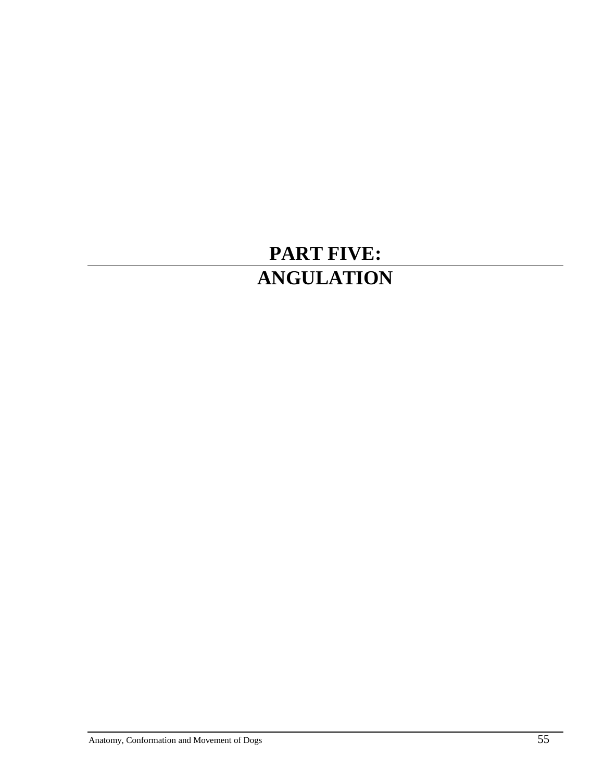# **PART FIVE: ANGULATION**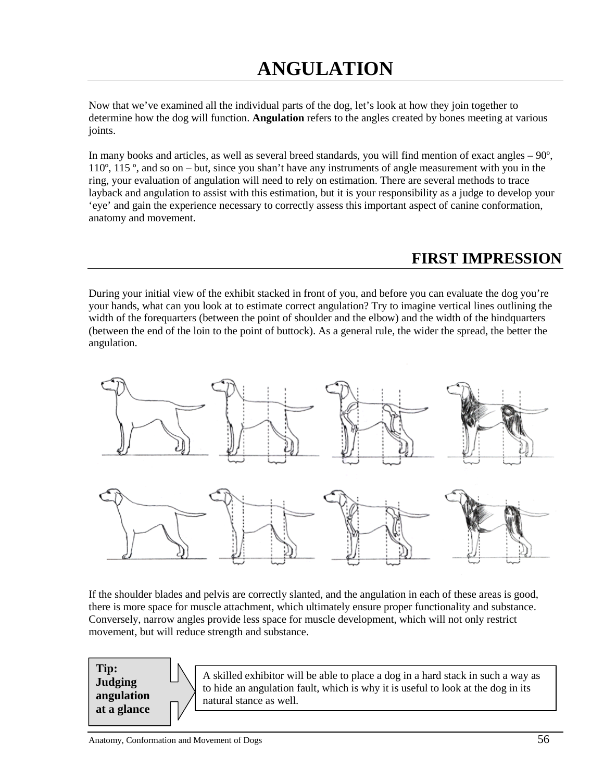Now that we've examined all the individual parts of the dog, let's look at how they join together to determine how the dog will function. **Angulation** refers to the angles created by bones meeting at various joints.

In many books and articles, as well as several breed standards, you will find mention of exact angles  $-90^\circ$ , 110º, 115 º, and so on – but, since you shan't have any instruments of angle measurement with you in the ring, your evaluation of angulation will need to rely on estimation. There are several methods to trace layback and angulation to assist with this estimation, but it is your responsibility as a judge to develop your 'eye' and gain the experience necessary to correctly assess this important aspect of canine conformation, anatomy and movement.

# **FIRST IMPRESSION**

During your initial view of the exhibit stacked in front of you, and before you can evaluate the dog you're your hands, what can you look at to estimate correct angulation? Try to imagine vertical lines outlining the width of the forequarters (between the point of shoulder and the elbow) and the width of the hindquarters (between the end of the loin to the point of buttock). As a general rule, the wider the spread, the better the angulation.



If the shoulder blades and pelvis are correctly slanted, and the angulation in each of these areas is good, there is more space for muscle attachment, which ultimately ensure proper functionality and substance. Conversely, narrow angles provide less space for muscle development, which will not only restrict movement, but will reduce strength and substance.

**Judging Tip: angulation at a glance**

A skilled exhibitor will be able to place a dog in a hard stack in such a way as to hide an angulation fault, which is why it is useful to look at the dog in its natural stance as well.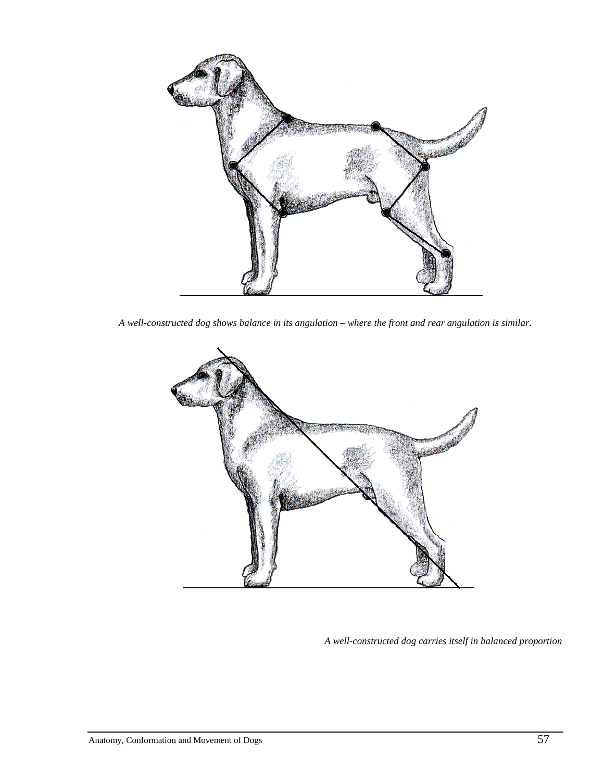

*A well-constructed dog shows balance in its angulation – where the front and rear angulation is similar*.



*A well-constructed dog carries itself in balanced proportion*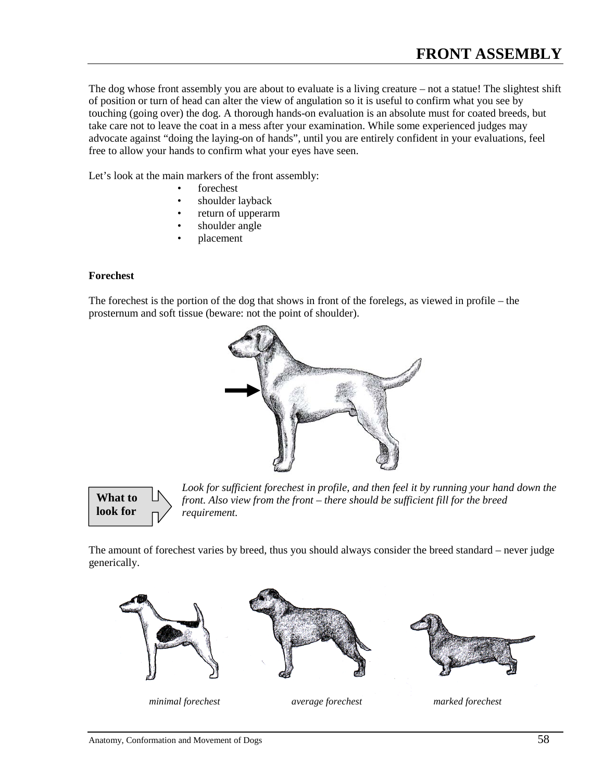The dog whose front assembly you are about to evaluate is a living creature – not a statue! The slightest shift of position or turn of head can alter the view of angulation so it is useful to confirm what you see by touching (going over) the dog. A thorough hands-on evaluation is an absolute must for coated breeds, but take care not to leave the coat in a mess after your examination. While some experienced judges may advocate against "doing the laying-on of hands", until you are entirely confident in your evaluations, feel free to allow your hands to confirm what your eyes have seen.

Let's look at the main markers of the front assembly:

- forechest
- shoulder layback
- return of upperarm
- shoulder angle
- placement

#### **Forechest**

The forechest is the portion of the dog that shows in front of the forelegs, as viewed in profile – the prosternum and soft tissue (beware: not the point of shoulder).





*Look for sufficient forechest in profile, and then feel it by running your hand down the front. Also view from the front – there should be sufficient fill for the breed requirement.*

The amount of forechest varies by breed, thus you should always consider the breed standard – never judge generically.







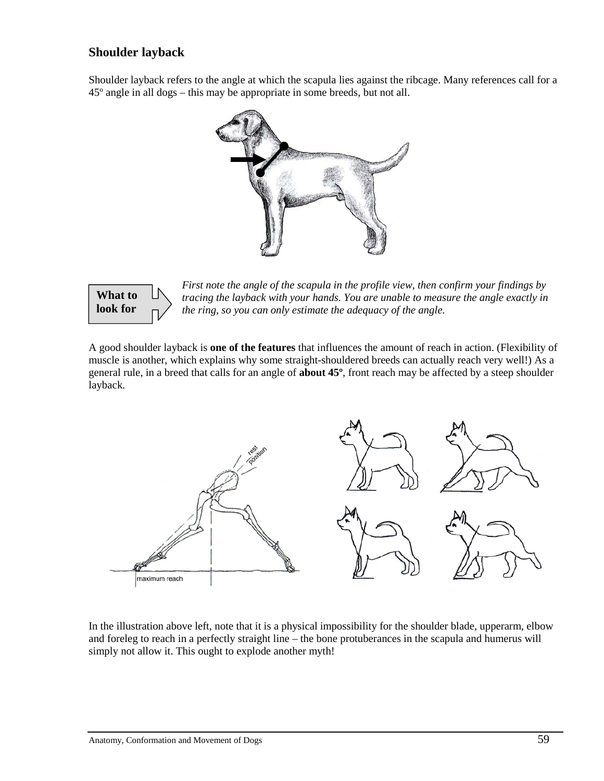#### **Shoulder layback**

Shoulder layback refers to the angle at which the scapula lies against the ribcage. Many references call for a 45º angle in all dogs – this may be appropriate in some breeds, but not all.





*First note the angle of the scapula in the profile view, then confirm your findings by tracing the layback with your hands. You are unable to measure the angle exactly in the ring, so you can only estimate the adequacy of the angle.*

A good shoulder layback is **one of the features** that influences the amount of reach in action. (Flexibility of muscle is another, which explains why some straight-shouldered breeds can actually reach very well!) As a general rule, in a breed that calls for an angle of **about 45º**, front reach may be affected by a steep shoulder layback.



In the illustration above left, note that it is a physical impossibility for the shoulder blade, upperarm, elbow and foreleg to reach in a perfectly straight line – the bone protuberances in the scapula and humerus will simply not allow it. This ought to explode another myth!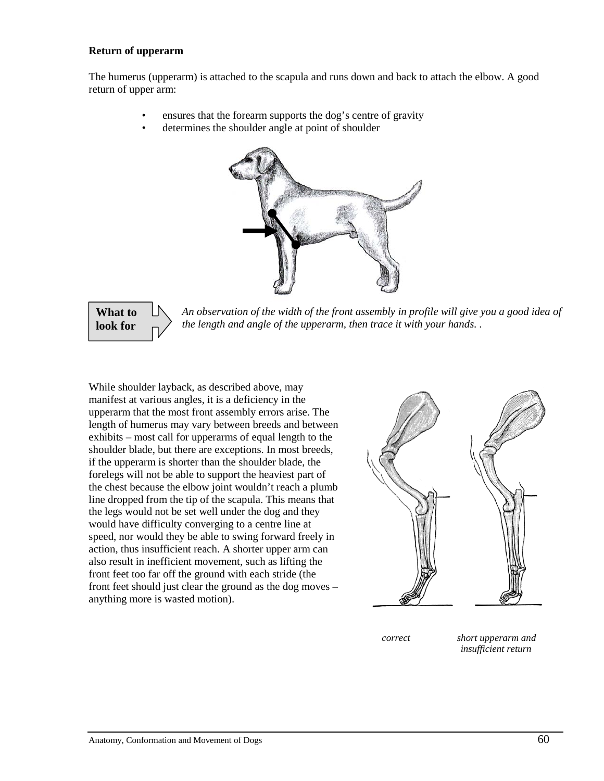#### **Return of upperarm**

The humerus (upperarm) is attached to the scapula and runs down and back to attach the elbow. A good return of upper arm:

- ensures that the forearm supports the dog's centre of gravity
- determines the shoulder angle at point of shoulder



## **What to look for**

*An observation of the width of the front assembly in profile will give you a good idea of the length and angle of the upperarm, then trace it with your hands. .*

While shoulder layback, as described above, may manifest at various angles, it is a deficiency in the upperarm that the most front assembly errors arise. The length of humerus may vary between breeds and between exhibits – most call for upperarms of equal length to the shoulder blade, but there are exceptions. In most breeds, if the upperarm is shorter than the shoulder blade, the forelegs will not be able to support the heaviest part of the chest because the elbow joint wouldn't reach a plumb line dropped from the tip of the scapula. This means that the legs would not be set well under the dog and they would have difficulty converging to a centre line at speed, nor would they be able to swing forward freely in action, thus insufficient reach. A shorter upper arm can also result in inefficient movement, such as lifting the front feet too far off the ground with each stride (the front feet should just clear the ground as the dog moves – anything more is wasted motion).



 *correct short upperarm and insufficient return*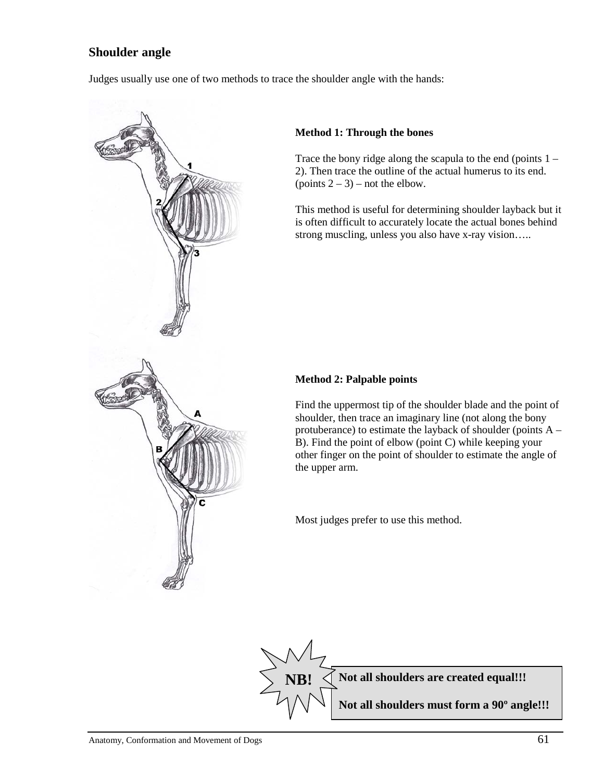#### **Shoulder angle**

Judges usually use one of two methods to trace the shoulder angle with the hands:



#### **Method 1: Through the bones**

Trace the bony ridge along the scapula to the end (points  $1 -$ 2). Then trace the outline of the actual humerus to its end. (points  $2 - 3$ ) – not the elbow.

This method is useful for determining shoulder layback but it is often difficult to accurately locate the actual bones behind strong muscling, unless you also have x-ray vision…..

#### **Method 2: Palpable points**

Find the uppermost tip of the shoulder blade and the point of shoulder, then trace an imaginary line (not along the bony protuberance) to estimate the layback of shoulder (points A – B). Find the point of elbow (point C) while keeping your other finger on the point of shoulder to estimate the angle of the upper arm.

Most judges prefer to use this method.

**Not all shoulders are created equal!!! Not all shoulders must form a 90º angle!!! NB!**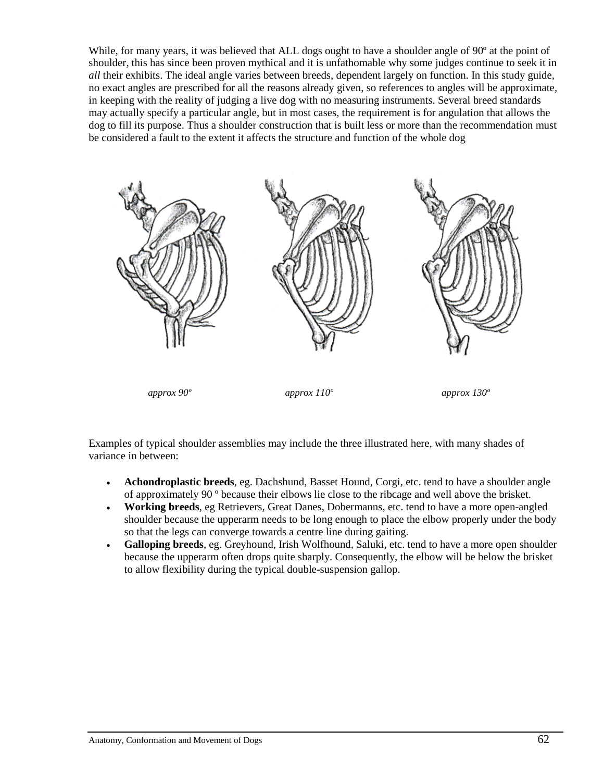While, for many years, it was believed that ALL dogs ought to have a shoulder angle of 90<sup>o</sup> at the point of shoulder, this has since been proven mythical and it is unfathomable why some judges continue to seek it in *all* their exhibits. The ideal angle varies between breeds, dependent largely on function. In this study guide, no exact angles are prescribed for all the reasons already given, so references to angles will be approximate, in keeping with the reality of judging a live dog with no measuring instruments. Several breed standards may actually specify a particular angle, but in most cases, the requirement is for angulation that allows the dog to fill its purpose. Thus a shoulder construction that is built less or more than the recommendation must be considered a fault to the extent it affects the structure and function of the whole dog



Examples of typical shoulder assemblies may include the three illustrated here, with many shades of variance in between:

- **Achondroplastic breeds**, eg. Dachshund, Basset Hound, Corgi, etc. tend to have a shoulder angle of approximately 90 º because their elbows lie close to the ribcage and well above the brisket.
- **Working breeds**, eg Retrievers, Great Danes, Dobermanns, etc. tend to have a more open-angled shoulder because the upperarm needs to be long enough to place the elbow properly under the body so that the legs can converge towards a centre line during gaiting.
- **Galloping breeds**, eg. Greyhound, Irish Wolfhound, Saluki, etc. tend to have a more open shoulder because the upperarm often drops quite sharply. Consequently, the elbow will be below the brisket to allow flexibility during the typical double-suspension gallop.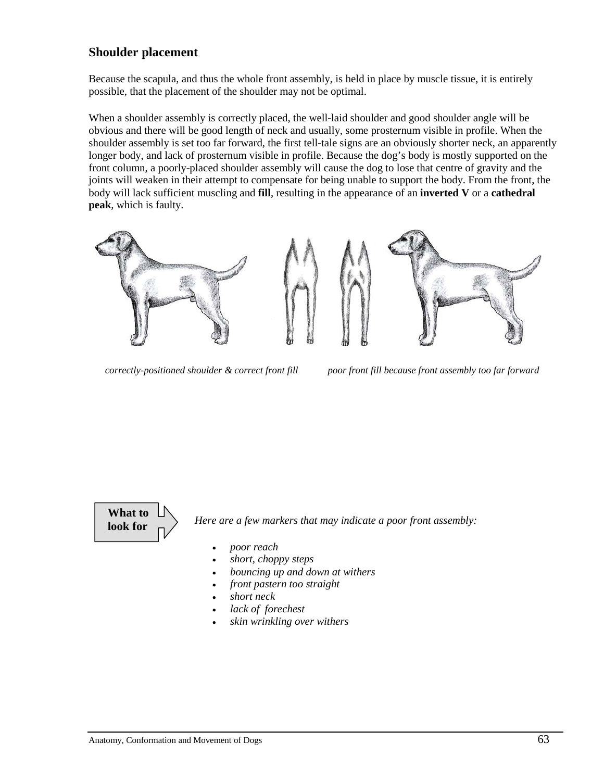#### **Shoulder placement**

Because the scapula, and thus the whole front assembly, is held in place by muscle tissue, it is entirely possible, that the placement of the shoulder may not be optimal.

When a shoulder assembly is correctly placed, the well-laid shoulder and good shoulder angle will be obvious and there will be good length of neck and usually, some prosternum visible in profile. When the shoulder assembly is set too far forward, the first tell-tale signs are an obviously shorter neck, an apparently longer body, and lack of prosternum visible in profile. Because the dog's body is mostly supported on the front column, a poorly-placed shoulder assembly will cause the dog to lose that centre of gravity and the joints will weaken in their attempt to compensate for being unable to support the body. From the front, the body will lack sufficient muscling and **fill**, resulting in the appearance of an **inverted V** or a **cathedral peak**, which is faulty.



*correctly-positioned shoulder & correct front fill poor front fill because front assembly too far forward*



*Here are a few markers that may indicate a poor front assembly:*

- *poor reach*
- *short, choppy steps*
- *bouncing up and down at withers*
- *front pastern too straight*
- *short neck*
- *lack of forechest*
- *skin wrinkling over withers*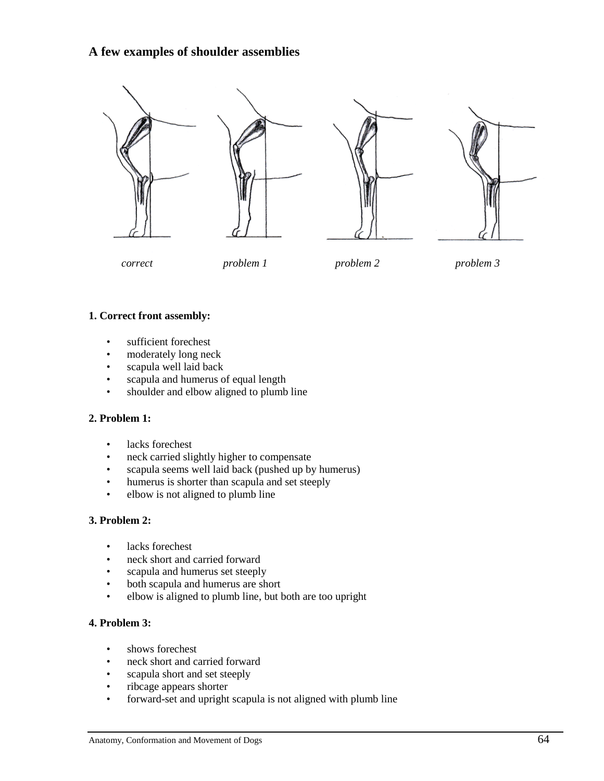#### **A few examples of shoulder assemblies**



*correct problem 1 problem 2 problem 3*

#### **1. Correct front assembly:**

- sufficient forechest
- moderately long neck
- scapula well laid back
- scapula and humerus of equal length
- shoulder and elbow aligned to plumb line

#### **2. Problem 1:**

- lacks forechest
- neck carried slightly higher to compensate
- scapula seems well laid back (pushed up by humerus)
- humerus is shorter than scapula and set steeply
- elbow is not aligned to plumb line

#### **3. Problem 2:**

- lacks forechest
- neck short and carried forward
- scapula and humerus set steeply
- both scapula and humerus are short
- elbow is aligned to plumb line, but both are too upright

#### **4. Problem 3:**

- shows forechest
- neck short and carried forward
- scapula short and set steeply
- ribcage appears shorter
- forward-set and upright scapula is not aligned with plumb line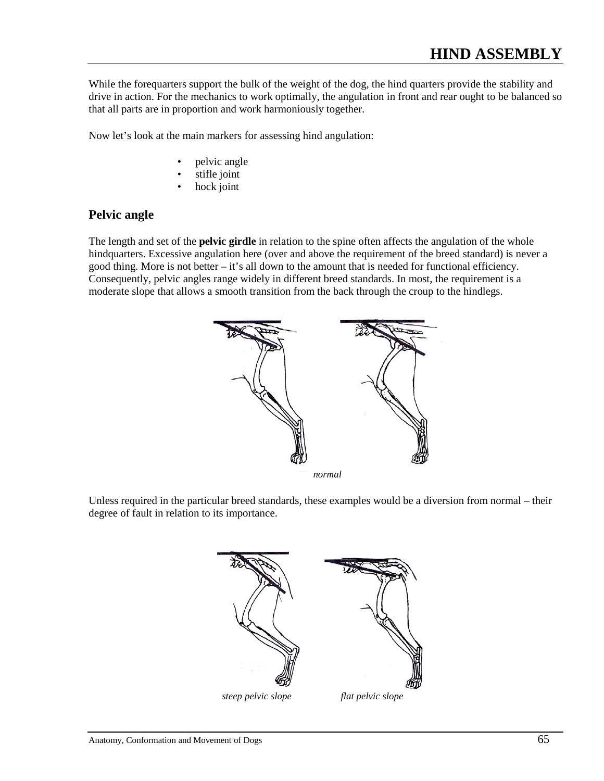While the forequarters support the bulk of the weight of the dog, the hind quarters provide the stability and drive in action. For the mechanics to work optimally, the angulation in front and rear ought to be balanced so that all parts are in proportion and work harmoniously together.

Now let's look at the main markers for assessing hind angulation:

- pelvic angle
- stifle joint
- hock joint

#### **Pelvic angle**

The length and set of the **pelvic girdle** in relation to the spine often affects the angulation of the whole hindquarters. Excessive angulation here (over and above the requirement of the breed standard) is never a good thing. More is not better – it's all down to the amount that is needed for functional efficiency. Consequently, pelvic angles range widely in different breed standards. In most, the requirement is a moderate slope that allows a smooth transition from the back through the croup to the hindlegs.



Unless required in the particular breed standards, these examples would be a diversion from normal – their degree of fault in relation to its importance.



 *steep pelvic slope flat pelvic slope*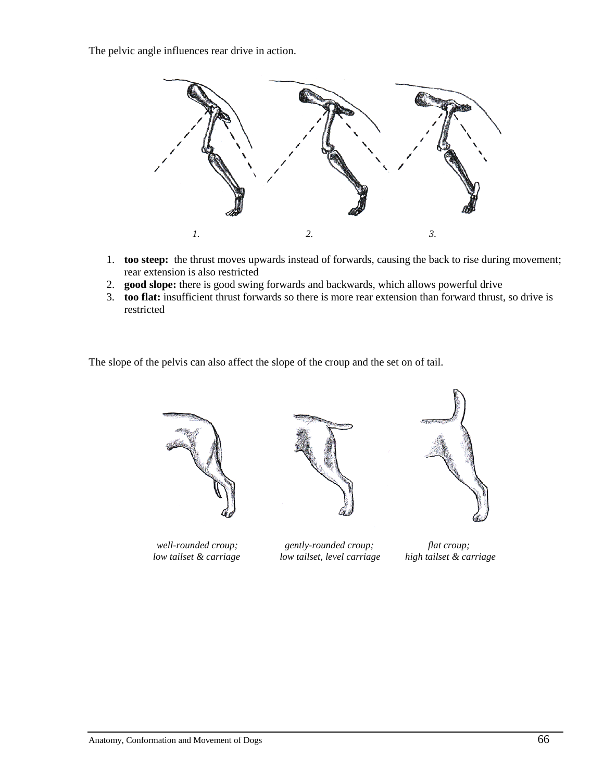The pelvic angle influences rear drive in action.



- 1. **too steep:** the thrust moves upwards instead of forwards, causing the back to rise during movement; rear extension is also restricted
- 2. **good slope:** there is good swing forwards and backwards, which allows powerful drive
- 3. **too flat:** insufficient thrust forwards so there is more rear extension than forward thrust, so drive is restricted

The slope of the pelvis can also affect the slope of the croup and the set on of tail.









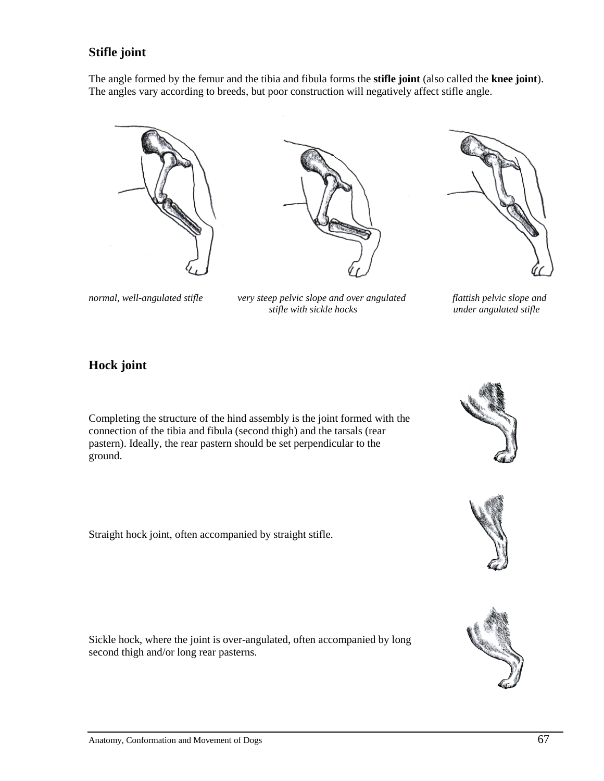#### **Stifle joint**

The angle formed by the femur and the tibia and fibula forms the **stifle joint** (also called the **knee joint**). The angles vary according to breeds, but poor construction will negatively affect stifle angle.







normal, well-angulated stifle very steep pelvic slope and over angulated flattish pelvic slope and<br>stifle with sickle hocks **and invertible** angulated stifle *stifle with sickle hocks* 

### **Hock joint**

Completing the structure of the hind assembly is the joint formed with the connection of the tibia and fibula (second thigh) and the tarsals (rear pastern). Ideally, the rear pastern should be set perpendicular to the ground.

Straight hock joint, often accompanied by straight stifle.

Sickle hock, where the joint is over-angulated, often accompanied by long second thigh and/or long rear pasterns.